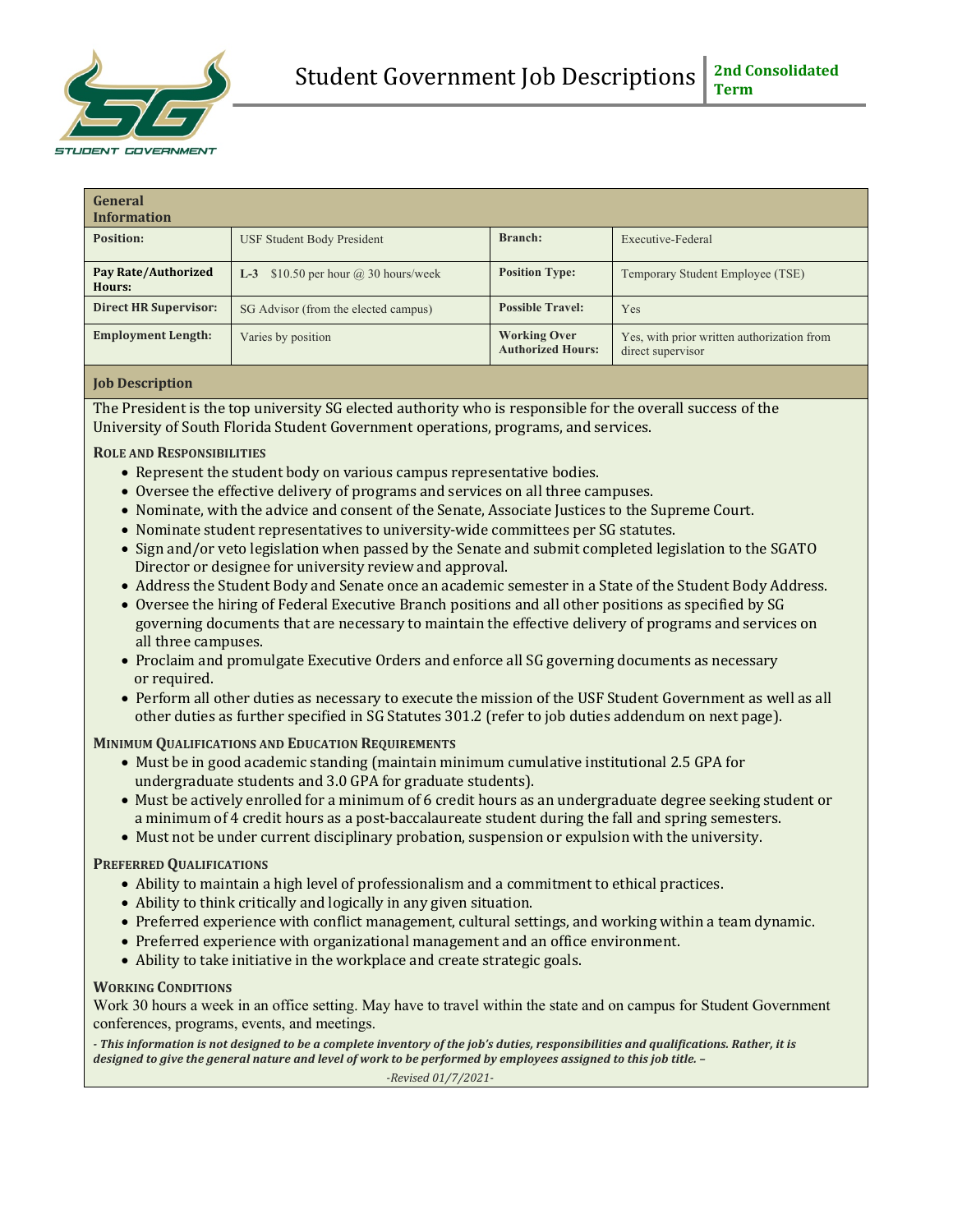

| General<br><b>Information</b>        |                                           |                                                 |                                                                 |
|--------------------------------------|-------------------------------------------|-------------------------------------------------|-----------------------------------------------------------------|
| Position:                            | <b>USF Student Body President</b>         | <b>Branch:</b>                                  | Executive-Federal                                               |
| <b>Pay Rate/Authorized</b><br>Hours: | L-3 $$10.50$ per hour $(a)$ 30 hours/week | <b>Position Type:</b>                           | Temporary Student Employee (TSE)                                |
| <b>Direct HR Supervisor:</b>         | SG Advisor (from the elected campus)      | <b>Possible Travel:</b>                         | Yes                                                             |
| <b>Employment Length:</b>            | Varies by position                        | <b>Working Over</b><br><b>Authorized Hours:</b> | Yes, with prior written authorization from<br>direct supervisor |

## **Job Description**

The President is the top university SG elected authority who is responsible for the overall success of the University of South Florida Student Government operations, programs, and services.

## **ROLE AND RESPONSIBILITIES**

- Represent the student body on various campus representative bodies.
- Oversee the effective delivery of programs and services on all three campuses.
- Nominate, with the advice and consent of the Senate, Associate Justices to the Supreme Court.
- Nominate student representatives to university-wide committees per SG statutes.
- Sign and/or veto legislation when passed by the Senate and submit completed legislation to the SGATO Director or designee for university review and approval.
- Address the Student Body and Senate once an academic semester in a State of the Student Body Address.
- Oversee the hiring of Federal Executive Branch positions and all other positions as specified by SG governing documents that are necessary to maintain the effective delivery of programs and services on all three campuses.
- Proclaim and promulgate Executive Orders and enforce all SG governing documents as necessary or required.
- Perform all other duties as necessary to execute the mission of the USF Student Government as well as all other duties as further specified in SG Statutes 301.2 (refer to job duties addendum on next page).

### **MINIMUM QUALIFICATIONS AND EDUCATION REQUIREMENTS**

- Must be in good academic standing (maintain minimum cumulative institutional 2.5 GPA for undergraduate students and 3.0 GPA for graduate students).
- Must be actively enrolled for a minimum of 6 credit hours as an undergraduate degree seeking student or a minimum of 4 credit hours as a post-baccalaureate student during the fall and spring semesters.
- Must not be under current disciplinary probation, suspension or expulsion with the university.

### **PREFERRED QUALIFICATIONS**

- Ability to maintain a high level of professionalism and a commitment to ethical practices.
- Ability to think critically and logically in any given situation.
- Preferred experience with conflict management, cultural settings, and working within a team dynamic.
- Preferred experience with organizational management and an office environment.
- Ability to take initiative in the workplace and create strategic goals.

### **WORKING CONDITIONS**

Work 30 hours a week in an office setting. May have to travel within the state and on campus for Student Government conferences, programs, events, and meetings.

- This information is not designed to be a complete inventory of the job's duties, responsibilities and qualifications. Rather, it is *designed to give the general nature and level of work to be performed by employees assigned to this job title.* -

 *-Revised 01/7/2021-*